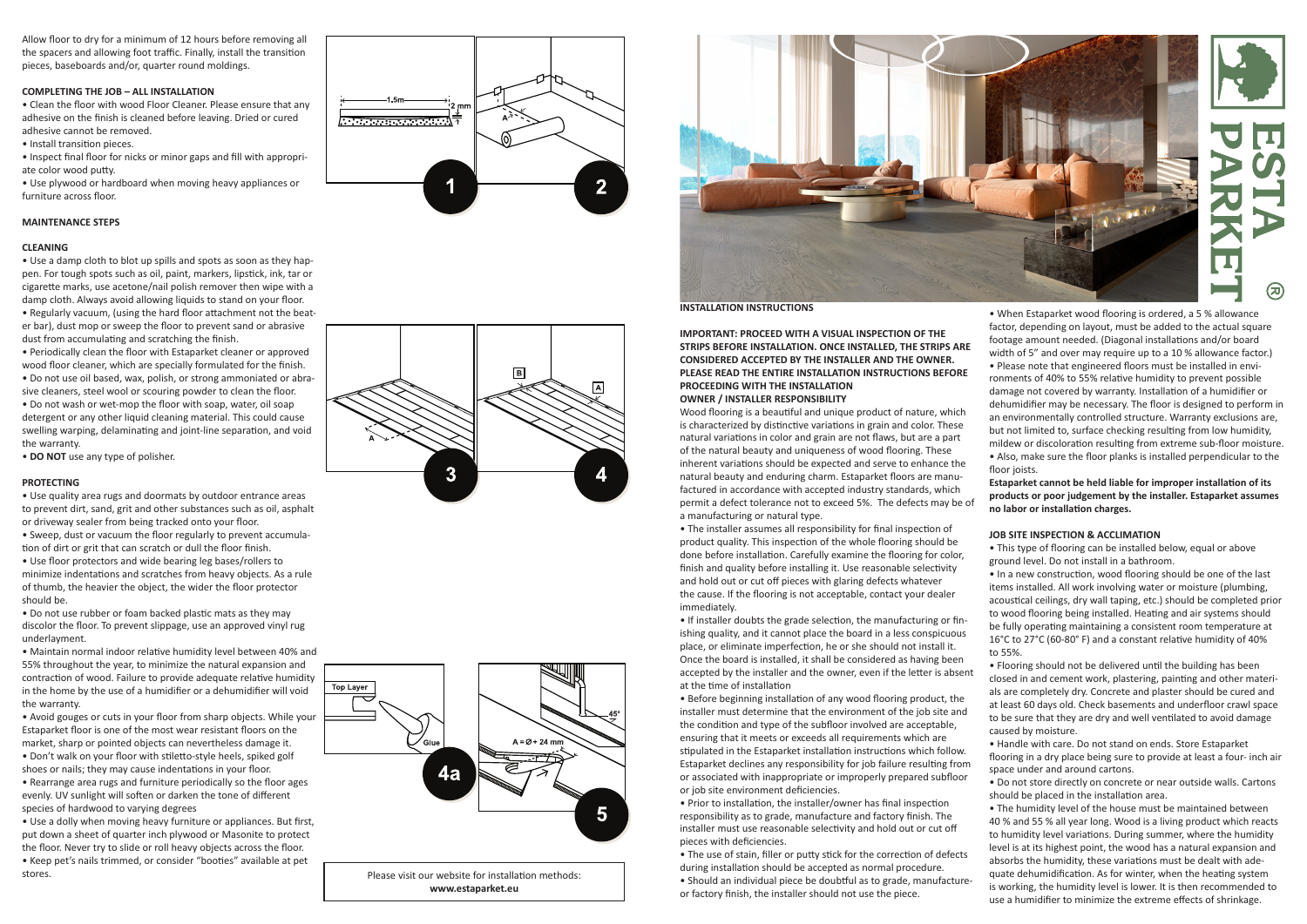Allow floor to dry for a minimum of 12 hours before removing all the spacers and allowing foot traffic. Finally, install the transition pieces, baseboards and/or, quarter round moldings.

## **COMPLETING THE JOB – ALL INSTALLATION**

• Clean the floor with wood Floor Cleaner. Please ensure that any adhesive on the finish is cleaned before leaving. Dried or cured adhesive cannot be removed.

• Install transition pieces.

• Inspect final floor for nicks or minor gaps and fill with appropriate color wood putty.

• Use plywood or hardboard when moving heavy appliances or furniture across floor.

## **MAINTENANCE STEPS**

## **CLEANING**

• Use a damp cloth to blot up spills and spots as soon as they happen. For tough spots such as oil, paint, markers, lipstick, ink, tar or cigarette marks, use acetone/nail polish remover then wipe with a damp cloth. Always avoid allowing liquids to stand on your floor. • Regularly vacuum, (using the hard floor attachment not the beater bar), dust mop or sweep the floor to prevent sand or abrasive

dust from accumulating and scratching the finish. • Periodically clean the floor with Estaparket cleaner or approved wood floor cleaner, which are specially formulated for the finish. • Do not use oil based, wax, polish, or strong ammoniated or abrasive cleaners, steel wool or scouring powder to clean the floor. • Do not wash or wet-mop the floor with soap, water, oil soap detergent or any other liquid cleaning material. This could cause swelling warping, delaminating and joint-line separation, and void the warranty.

• **DO NOT** use any type of polisher.

## **PROTECTING**

• Use quality area rugs and doormats by outdoor entrance areas to prevent dirt, sand, grit and other substances such as oil, asphalt or driveway sealer from being tracked onto your floor.

• Sweep, dust or vacuum the floor regularly to prevent accumulation of dirt or grit that can scratch or dull the floor finish. • Use floor protectors and wide bearing leg bases/rollers to minimize indentations and scratches from heavy objects. As a rule of thumb, the heavier the object, the wider the floor protector should be.

• Do not use rubber or foam backed plastic mats as they may discolor the floor. To prevent slippage, use an approved vinyl rug underlayment.

• Maintain normal indoor relative humidity level between 40% and 55% throughout the year, to minimize the natural expansion and contraction of wood. Failure to provide adequate relative humidity in the home by the use of a humidifier or a dehumidifier will void the warranty.

• Avoid gouges or cuts in your floor from sharp objects. While your Estaparket floor is one of the most wear resistant floors on the market, sharp or pointed objects can nevertheless damage it. • Don't walk on your floor with stiletto-style heels, spiked golf shoes or nails; they may cause indentations in your floor.

• Rearrange area rugs and furniture periodically so the floor ages evenly. UV sunlight will soften or darken the tone of different species of hardwood to varying degrees

• Use a dolly when moving heavy furniture or appliances. But first, put down a sheet of quarter inch plywood or Masonite to protect the floor. Never try to slide or roll heavy objects across the floor. • Keep pet's nails trimmed, or consider "booties" available at pet stores. **Please visit our website for installation methods: Please visit our website for installation methods:** 







**INSTALLATION INSTRUCTIONS**

# **IMPORTANT: PROCEED WITH A VISUAL INSPECTION OF THE STRIPS BEFORE INSTALLATION. ONCE INSTALLED, THE STRIPS ARE CONSIDERED ACCEPTED BY THE INSTALLER AND THE OWNER. PLEASE READ THE ENTIRE INSTALLATION INSTRUCTIONS BEFORE PROCEEDING WITH THE INSTALLATION**

**OWNER / INSTALLER RESPONSIBILITY** 

Wood flooring is a beautiful and unique product of nature, which is characterized by distinctive variations in grain and color. These natural variations in color and grain are not flaws, but are a part of the natural beauty and uniqueness of wood flooring. These inherent variations should be expected and serve to enhance the natural beauty and enduring charm. Estaparket floors are manufactured in accordance with accepted industry standards, which permit a defect tolerance not to exceed 5%. The defects may be of a manufacturing or natural type.

• The installer assumes all responsibility for final inspection of product quality. This inspection of the whole flooring should be done before installation. Carefully examine the flooring for color, finish and quality before installing it. Use reasonable selectivity and hold out or cut off pieces with glaring defects whatever the cause. If the flooring is not acceptable, contact your dealer immediately.

• If installer doubts the grade selection, the manufacturing or finishing quality, and it cannot place the board in a less conspicuous place, or eliminate imperfection, he or she should not install it. Once the board is installed, it shall be considered as having been accepted by the installer and the owner, even if the letter is absent at the time of installation

• Before beginning installation of any wood flooring product, the installer must determine that the environment of the job site and the condition and type of the subfloor involved are acceptable, ensuring that it meets or exceeds all requirements which are stipulated in the Estaparket installation instructions which follow. Estaparket declines any responsibility for job failure resulting from or associated with inappropriate or improperly prepared subfloor or job site environment deficiencies.

• Prior to installation, the installer/owner has final inspection responsibility as to grade, manufacture and factory finish. The installer must use reasonable selectivity and hold out or cut off pieces with deficiencies.

• The use of stain, filler or putty stick for the correction of defects during installation should be accepted as normal procedure. • Should an individual piece be doubtful as to grade, manufactureor factory finish, the installer should not use the piece.

• When Estaparket wood flooring is ordered, a 5 % allowance factor, depending on layout, must be added to the actual square footage amount needed. (Diagonal installations and/or board width of 5" and over may require up to a 10 % allowance factor.) • Please note that engineered floors must be installed in environments of 40% to 55% relative humidity to prevent possible damage not covered by warranty. Installation of a humidifier or dehumidifier may be necessary. The floor is designed to perform in an environmentally controlled structure. Warranty exclusions are, but not limited to, surface checking resulting from low humidity, mildew or discoloration resulting from extreme sub-floor moisture. • Also, make sure the floor planks is installed perpendicular to the floor joists.

**Estaparket cannot be held liable for improper installation of its products or poor judgement by the installer. Estaparket assumes no labor or installation charges.** 

## **JOB SITE INSPECTION & ACCLIMATION**

• This type of flooring can be installed below, equal or above ground level. Do not install in a bathroom.

• In a new construction, wood flooring should be one of the last items installed. All work involving water or moisture (plumbing, acoustical ceilings, dry wall taping, etc.) should be completed prior to wood flooring being installed. Heating and air systems should be fully operating maintaining a consistent room temperature at 16°C to 27°C (60-80° F) and a constant relative humidity of 40% to 55%.

• Flooring should not be delivered until the building has been closed in and cement work, plastering, painting and other materials are completely dry. Concrete and plaster should be cured and at least 60 days old. Check basements and underfloor crawl space to be sure that they are dry and well ventilated to avoid damage caused by moisture.

• Handle with care. Do not stand on ends. Store Estaparket flooring in a dry place being sure to provide at least a four- inch air space under and around cartons.

• Do not store directly on concrete or near outside walls. Cartons should be placed in the installation area.

• The humidity level of the house must be maintained between 40 % and 55 % all year long. Wood is a living product which reacts to humidity level variations. During summer, where the humidity level is at its highest point, the wood has a natural expansion and absorbs the humidity, these variations must be dealt with adequate dehumidification. As for winter, when the heating system is working, the humidity level is lower. It is then recommended to use a humidifier to minimize the extreme effects of shrinkage.



**www.estaparket.eu**